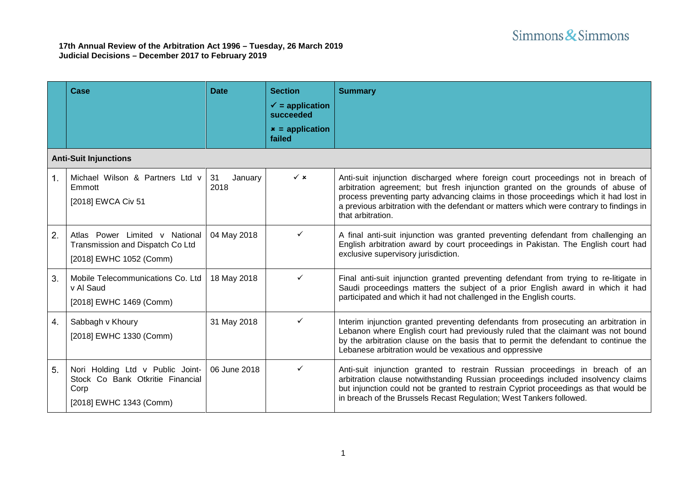|    | Case                                                                                                    | <b>Date</b>           | <b>Section</b><br>$\checkmark$ = application<br>succeeded<br>$x =$ application<br>failed | <b>Summary</b>                                                                                                                                                                                                                                                                                                                                                            |
|----|---------------------------------------------------------------------------------------------------------|-----------------------|------------------------------------------------------------------------------------------|---------------------------------------------------------------------------------------------------------------------------------------------------------------------------------------------------------------------------------------------------------------------------------------------------------------------------------------------------------------------------|
|    | <b>Anti-Suit Injunctions</b>                                                                            |                       |                                                                                          |                                                                                                                                                                                                                                                                                                                                                                           |
| 1. | Michael Wilson & Partners Ltd v<br>Emmott<br>[2018] EWCA Civ 51                                         | 31<br>January<br>2018 | $\checkmark$ x                                                                           | Anti-suit injunction discharged where foreign court proceedings not in breach of<br>arbitration agreement; but fresh injunction granted on the grounds of abuse of<br>process preventing party advancing claims in those proceedings which it had lost in<br>a previous arbitration with the defendant or matters which were contrary to findings in<br>that arbitration. |
| 2. | Atlas Power Limited v National<br>Transmission and Dispatch Co Ltd<br>[2018] EWHC 1052 (Comm)           | 04 May 2018           | ✓                                                                                        | A final anti-suit injunction was granted preventing defendant from challenging an<br>English arbitration award by court proceedings in Pakistan. The English court had<br>exclusive supervisory jurisdiction.                                                                                                                                                             |
| 3. | Mobile Telecommunications Co. Ltd<br>v Al Saud<br>[2018] EWHC 1469 (Comm)                               | 18 May 2018           | ✓                                                                                        | Final anti-suit injunction granted preventing defendant from trying to re-litigate in<br>Saudi proceedings matters the subject of a prior English award in which it had<br>participated and which it had not challenged in the English courts.                                                                                                                            |
| 4. | Sabbagh v Khoury<br>[2018] EWHC 1330 (Comm)                                                             | 31 May 2018           | ✓                                                                                        | Interim injunction granted preventing defendants from prosecuting an arbitration in<br>Lebanon where English court had previously ruled that the claimant was not bound<br>by the arbitration clause on the basis that to permit the defendant to continue the<br>Lebanese arbitration would be vexatious and oppressive                                                  |
| 5. | Nori Holding Ltd v Public Joint-<br>Stock Co Bank Otkritie Financial<br>Corp<br>[2018] EWHC 1343 (Comm) | 06 June 2018          | ✓                                                                                        | Anti-suit injunction granted to restrain Russian proceedings in breach of an<br>arbitration clause notwithstanding Russian proceedings included insolvency claims<br>but injunction could not be granted to restrain Cypriot proceedings as that would be<br>in breach of the Brussels Recast Regulation; West Tankers followed.                                          |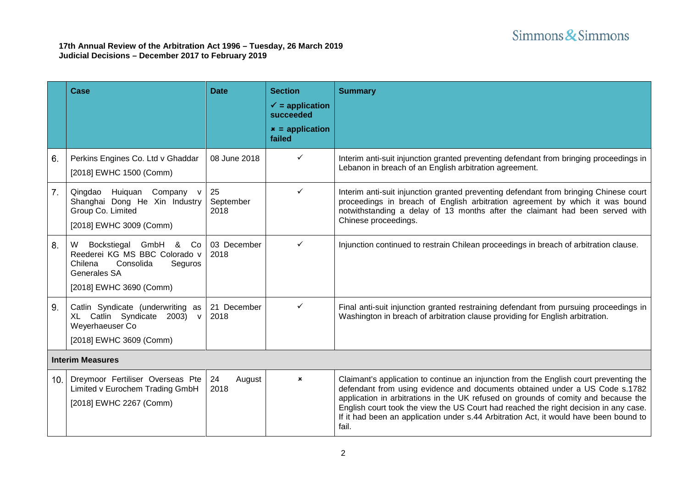|     | Case                                                                                                                                          | <b>Date</b>             | <b>Section</b><br>$\checkmark$ = application<br>succeeded<br>$x =$ application<br>failed | <b>Summary</b>                                                                                                                                                                                                                                                                                                                                                                                                                                        |  |  |
|-----|-----------------------------------------------------------------------------------------------------------------------------------------------|-------------------------|------------------------------------------------------------------------------------------|-------------------------------------------------------------------------------------------------------------------------------------------------------------------------------------------------------------------------------------------------------------------------------------------------------------------------------------------------------------------------------------------------------------------------------------------------------|--|--|
| 6.  | Perkins Engines Co. Ltd v Ghaddar<br>[2018] EWHC 1500 (Comm)                                                                                  | 08 June 2018            | ✓                                                                                        | Interim anti-suit injunction granted preventing defendant from bringing proceedings in<br>Lebanon in breach of an English arbitration agreement.                                                                                                                                                                                                                                                                                                      |  |  |
| 7.  | Qingdao Huiquan Company v<br>Shanghai Dong He Xin Industry<br>Group Co. Limited<br>[2018] EWHC 3009 (Comm)                                    | 25<br>September<br>2018 | ✓                                                                                        | Interim anti-suit injunction granted preventing defendant from bringing Chinese court<br>proceedings in breach of English arbitration agreement by which it was bound<br>notwithstanding a delay of 13 months after the claimant had been served with<br>Chinese proceedings.                                                                                                                                                                         |  |  |
| 8.  | W Bockstiegal GmbH & Co<br>Reederei KG MS BBC Colorado v<br>Consolida<br>Seguros<br>Chilena<br><b>Generales SA</b><br>[2018] EWHC 3690 (Comm) | 03 December<br>2018     | ✓                                                                                        | Injunction continued to restrain Chilean proceedings in breach of arbitration clause.                                                                                                                                                                                                                                                                                                                                                                 |  |  |
| 9.  | Catlin Syndicate (underwriting as<br>XL Catlin Syndicate 2003) v<br>Weyerhaeuser Co<br>[2018] EWHC 3609 (Comm)                                | 21 December<br>2018     | ✓                                                                                        | Final anti-suit injunction granted restraining defendant from pursuing proceedings in<br>Washington in breach of arbitration clause providing for English arbitration.                                                                                                                                                                                                                                                                                |  |  |
|     | <b>Interim Measures</b>                                                                                                                       |                         |                                                                                          |                                                                                                                                                                                                                                                                                                                                                                                                                                                       |  |  |
| 10. | Dreymoor Fertiliser Overseas Pte<br>Limited v Eurochem Trading GmbH<br>[2018] EWHC 2267 (Comm)                                                | 24<br>August<br>2018    | $\mathbf{x}$                                                                             | Claimant's application to continue an injunction from the English court preventing the<br>defendant from using evidence and documents obtained under a US Code s.1782<br>application in arbitrations in the UK refused on grounds of comity and because the<br>English court took the view the US Court had reached the right decision in any case.<br>If it had been an application under s.44 Arbitration Act, it would have been bound to<br>fail. |  |  |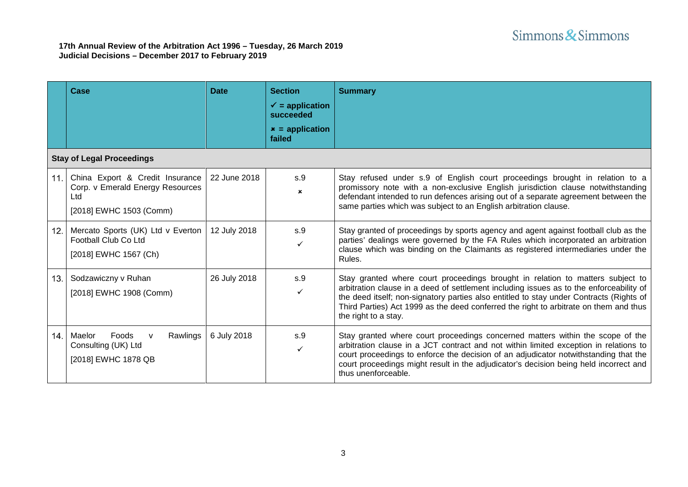|     | Case                                                                                                  | <b>Date</b>  | <b>Section</b><br>$\checkmark$ = application<br>succeeded<br>$x =$ application<br>failed | <b>Summary</b>                                                                                                                                                                                                                                                                                                                                                                        |
|-----|-------------------------------------------------------------------------------------------------------|--------------|------------------------------------------------------------------------------------------|---------------------------------------------------------------------------------------------------------------------------------------------------------------------------------------------------------------------------------------------------------------------------------------------------------------------------------------------------------------------------------------|
|     | <b>Stay of Legal Proceedings</b>                                                                      |              |                                                                                          |                                                                                                                                                                                                                                                                                                                                                                                       |
| 11. | China Export & Credit Insurance<br>Corp. v Emerald Energy Resources<br>Ltd<br>[2018] EWHC 1503 (Comm) | 22 June 2018 | S.9<br>×                                                                                 | Stay refused under s.9 of English court proceedings brought in relation to a<br>promissory note with a non-exclusive English jurisdiction clause notwithstanding<br>defendant intended to run defences arising out of a separate agreement between the<br>same parties which was subject to an English arbitration clause.                                                            |
| 12. | Mercato Sports (UK) Ltd v Everton<br>Football Club Co Ltd<br>[2018] EWHC 1567 (Ch)                    | 12 July 2018 | s.9                                                                                      | Stay granted of proceedings by sports agency and agent against football club as the<br>parties' dealings were governed by the FA Rules which incorporated an arbitration<br>clause which was binding on the Claimants as registered intermediaries under the<br>Rules.                                                                                                                |
| 13. | Sodzawiczny v Ruhan<br>[2018] EWHC 1908 (Comm)                                                        | 26 July 2018 | s.9<br>✓                                                                                 | Stay granted where court proceedings brought in relation to matters subject to<br>arbitration clause in a deed of settlement including issues as to the enforceability of<br>the deed itself; non-signatory parties also entitled to stay under Contracts (Rights of<br>Third Parties) Act 1999 as the deed conferred the right to arbitrate on them and thus<br>the right to a stay. |
| 14. | Maelor<br>Foods<br>Rawlings<br>Consulting (UK) Ltd<br>[2018] EWHC 1878 QB                             | 6 July 2018  | S.9                                                                                      | Stay granted where court proceedings concerned matters within the scope of the<br>arbitration clause in a JCT contract and not within limited exception in relations to<br>court proceedings to enforce the decision of an adjudicator notwithstanding that the<br>court proceedings might result in the adjudicator's decision being held incorrect and<br>thus unenforceable.       |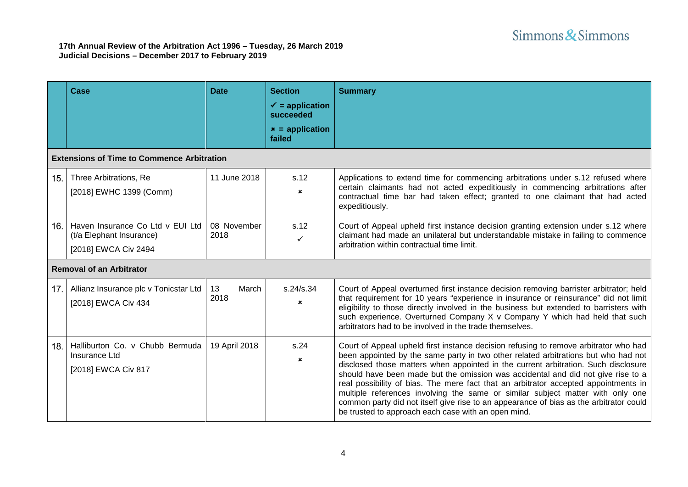|     | Case                                                                                 | <b>Date</b>         | <b>Section</b><br>$\checkmark$ = application<br>succeeded<br>$x =$ application | <b>Summary</b>                                                                                                                                                                                                                                                                                                                                                                                                                                                                                                                                                                                                                                                                 |
|-----|--------------------------------------------------------------------------------------|---------------------|--------------------------------------------------------------------------------|--------------------------------------------------------------------------------------------------------------------------------------------------------------------------------------------------------------------------------------------------------------------------------------------------------------------------------------------------------------------------------------------------------------------------------------------------------------------------------------------------------------------------------------------------------------------------------------------------------------------------------------------------------------------------------|
|     | <b>Extensions of Time to Commence Arbitration</b>                                    |                     | failed                                                                         |                                                                                                                                                                                                                                                                                                                                                                                                                                                                                                                                                                                                                                                                                |
| 15. | Three Arbitrations, Re<br>[2018] EWHC 1399 (Comm)                                    | 11 June 2018        | s.12<br>$\pmb{\times}$                                                         | Applications to extend time for commencing arbitrations under s.12 refused where<br>certain claimants had not acted expeditiously in commencing arbitrations after<br>contractual time bar had taken effect; granted to one claimant that had acted<br>expeditiously.                                                                                                                                                                                                                                                                                                                                                                                                          |
| 16. | Haven Insurance Co Ltd v EUI Ltd<br>(t/a Elephant Insurance)<br>[2018] EWCA Civ 2494 | 08 November<br>2018 | s.12<br>✓                                                                      | Court of Appeal upheld first instance decision granting extension under s.12 where<br>claimant had made an unilateral but understandable mistake in failing to commence<br>arbitration within contractual time limit.                                                                                                                                                                                                                                                                                                                                                                                                                                                          |
|     | <b>Removal of an Arbitrator</b>                                                      |                     |                                                                                |                                                                                                                                                                                                                                                                                                                                                                                                                                                                                                                                                                                                                                                                                |
| 17. | Allianz Insurance plc v Tonicstar Ltd<br>[2018] EWCA Civ 434                         | 13<br>March<br>2018 | s.24/s.34<br>$\mathbf x$                                                       | Court of Appeal overturned first instance decision removing barrister arbitrator; held<br>that requirement for 10 years "experience in insurance or reinsurance" did not limit<br>eligibility to those directly involved in the business but extended to barristers with<br>such experience. Overturned Company X v Company Y which had held that such<br>arbitrators had to be involved in the trade themselves.                                                                                                                                                                                                                                                              |
| 18. | Halliburton Co. v Chubb Bermuda<br><b>Insurance Ltd</b><br>[2018] EWCA Civ 817       | 19 April 2018       | s.24<br>$\mathbf{x}$                                                           | Court of Appeal upheld first instance decision refusing to remove arbitrator who had<br>been appointed by the same party in two other related arbitrations but who had not<br>disclosed those matters when appointed in the current arbitration. Such disclosure<br>should have been made but the omission was accidental and did not give rise to a<br>real possibility of bias. The mere fact that an arbitrator accepted appointments in<br>multiple references involving the same or similar subject matter with only one<br>common party did not itself give rise to an appearance of bias as the arbitrator could<br>be trusted to approach each case with an open mind. |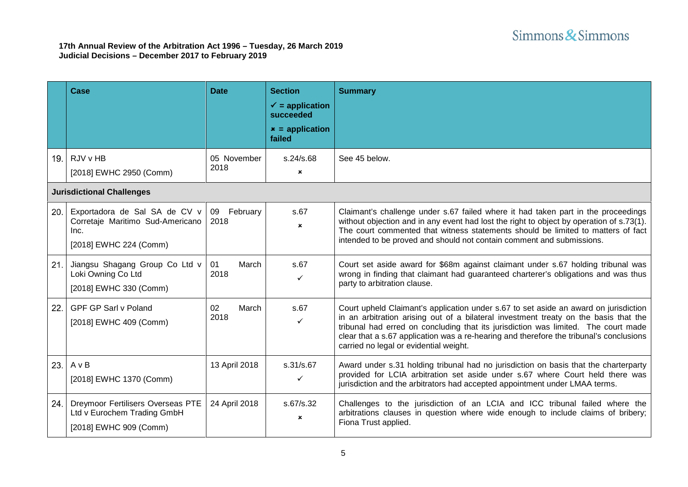|     | Case                                                                                                | <b>Date</b>         | <b>Section</b><br>$\checkmark$ = application<br>succeeded<br>$x =$ application<br>failed | <b>Summary</b>                                                                                                                                                                                                                                                                                                                                                                                          |  |
|-----|-----------------------------------------------------------------------------------------------------|---------------------|------------------------------------------------------------------------------------------|---------------------------------------------------------------------------------------------------------------------------------------------------------------------------------------------------------------------------------------------------------------------------------------------------------------------------------------------------------------------------------------------------------|--|
| 19. | RJV v HB<br>[2018] EWHC 2950 (Comm)                                                                 | 05 November<br>2018 | s.24/s.68<br>×                                                                           | See 45 below.                                                                                                                                                                                                                                                                                                                                                                                           |  |
|     | <b>Jurisdictional Challenges</b>                                                                    |                     |                                                                                          |                                                                                                                                                                                                                                                                                                                                                                                                         |  |
| 20. | Exportadora de Sal SA de CV v<br>Corretaje Maritimo Sud-Americano<br>Inc.<br>[2018] EWHC 224 (Comm) | 09 February<br>2018 | s.67<br>×                                                                                | Claimant's challenge under s.67 failed where it had taken part in the proceedings<br>without objection and in any event had lost the right to object by operation of s.73(1).<br>The court commented that witness statements should be limited to matters of fact<br>intended to be proved and should not contain comment and submissions.                                                              |  |
| 21. | Jiangsu Shagang Group Co Ltd v<br>Loki Owning Co Ltd<br>[2018] EWHC 330 (Comm)                      | 01<br>March<br>2018 | s.67<br>✓                                                                                | Court set aside award for \$68m against claimant under s.67 holding tribunal was<br>wrong in finding that claimant had guaranteed charterer's obligations and was thus<br>party to arbitration clause.                                                                                                                                                                                                  |  |
| 22. | <b>GPF GP Sarl v Poland</b><br>[2018] EWHC 409 (Comm)                                               | 02<br>March<br>2018 | s.67<br>✓                                                                                | Court upheld Claimant's application under s.67 to set aside an award on jurisdiction<br>in an arbitration arising out of a bilateral investment treaty on the basis that the<br>tribunal had erred on concluding that its jurisdiction was limited. The court made<br>clear that a s.67 application was a re-hearing and therefore the tribunal's conclusions<br>carried no legal or evidential weight. |  |
| 23. | AvB<br>[2018] EWHC 1370 (Comm)                                                                      | 13 April 2018       | s.31/s.67<br>✓                                                                           | Award under s.31 holding tribunal had no jurisdiction on basis that the charterparty<br>provided for LCIA arbitration set aside under s.67 where Court held there was<br>jurisdiction and the arbitrators had accepted appointment under LMAA terms.                                                                                                                                                    |  |
| 24. | Dreymoor Fertilisers Overseas PTE<br>Ltd v Eurochem Trading GmbH<br>[2018] EWHC 909 (Comm)          | 24 April 2018       | s.67/s.32<br>×                                                                           | Challenges to the jurisdiction of an LCIA and ICC tribunal failed where the<br>arbitrations clauses in question where wide enough to include claims of bribery;<br>Fiona Trust applied.                                                                                                                                                                                                                 |  |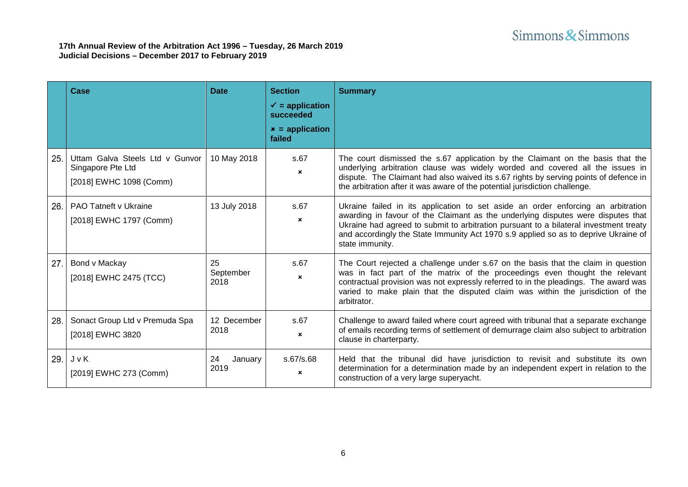|     | Case                                                                            | <b>Date</b>             | <b>Section</b><br>$\checkmark$ = application<br>succeeded<br>$x =$ application<br>failed | <b>Summary</b>                                                                                                                                                                                                                                                                                                                                                          |
|-----|---------------------------------------------------------------------------------|-------------------------|------------------------------------------------------------------------------------------|-------------------------------------------------------------------------------------------------------------------------------------------------------------------------------------------------------------------------------------------------------------------------------------------------------------------------------------------------------------------------|
| 25. | Uttam Galva Steels Ltd v Gunvor<br>Singapore Pte Ltd<br>[2018] EWHC 1098 (Comm) | 10 May 2018             | s.67<br>$\boldsymbol{\mathsf{x}}$                                                        | The court dismissed the s.67 application by the Claimant on the basis that the<br>underlying arbitration clause was widely worded and covered all the issues in<br>dispute. The Claimant had also waived its s.67 rights by serving points of defence in<br>the arbitration after it was aware of the potential jurisdiction challenge.                                 |
| 26. | <b>PAO Tatneft v Ukraine</b><br>[2018] EWHC 1797 (Comm)                         | 13 July 2018            | s.67<br>$\boldsymbol{\mathsf{x}}$                                                        | Ukraine failed in its application to set aside an order enforcing an arbitration<br>awarding in favour of the Claimant as the underlying disputes were disputes that<br>Ukraine had agreed to submit to arbitration pursuant to a bilateral investment treaty<br>and accordingly the State Immunity Act 1970 s.9 applied so as to deprive Ukraine of<br>state immunity. |
| 27. | Bond v Mackay<br>[2018] EWHC 2475 (TCC)                                         | 25<br>September<br>2018 | s.67<br>$\mathbf x$                                                                      | The Court rejected a challenge under s.67 on the basis that the claim in question<br>was in fact part of the matrix of the proceedings even thought the relevant<br>contractual provision was not expressly referred to in the pleadings. The award was<br>varied to make plain that the disputed claim was within the jurisdiction of the<br>arbitrator.               |
| 28. | Sonact Group Ltd v Premuda Spa<br>[2018] EWHC 3820                              | 12 December<br>2018     | s.67<br>$\boldsymbol{\mathsf{x}}$                                                        | Challenge to award failed where court agreed with tribunal that a separate exchange<br>of emails recording terms of settlement of demurrage claim also subject to arbitration<br>clause in charterparty.                                                                                                                                                                |
| 29. | JvK<br>[2019] EWHC 273 (Comm)                                                   | 24<br>January<br>2019   | s.67/s.68<br>$\boldsymbol{\mathsf{x}}$                                                   | Held that the tribunal did have jurisdiction to revisit and substitute its own<br>determination for a determination made by an independent expert in relation to the<br>construction of a very large superyacht.                                                                                                                                                        |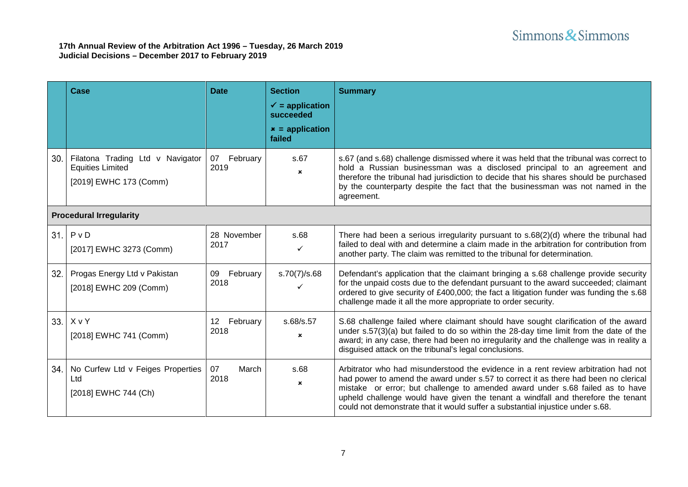|      | Case                                                                                  | <b>Date</b>         | <b>Section</b><br>$\checkmark$ = application<br>succeeded<br>$x =$ application<br>failed | <b>Summary</b>                                                                                                                                                                                                                                                                                                                                                                                                                   |  |
|------|---------------------------------------------------------------------------------------|---------------------|------------------------------------------------------------------------------------------|----------------------------------------------------------------------------------------------------------------------------------------------------------------------------------------------------------------------------------------------------------------------------------------------------------------------------------------------------------------------------------------------------------------------------------|--|
| 30.  | Filatona Trading Ltd v Navigator<br><b>Equities Limited</b><br>[2019] EWHC 173 (Comm) | 07 February<br>2019 | s.67<br>$\mathbf{x}$                                                                     | s.67 (and s.68) challenge dismissed where it was held that the tribunal was correct to<br>hold a Russian businessman was a disclosed principal to an agreement and<br>therefore the tribunal had jurisdiction to decide that his shares should be purchased<br>by the counterparty despite the fact that the businessman was not named in the<br>agreement.                                                                      |  |
|      | <b>Procedural Irregularity</b>                                                        |                     |                                                                                          |                                                                                                                                                                                                                                                                                                                                                                                                                                  |  |
| 31.1 | P <sub>V</sub><br>[2017] EWHC 3273 (Comm)                                             | 28 November<br>2017 | s.68<br>✓                                                                                | There had been a serious irregularity pursuant to s.68(2)(d) where the tribunal had<br>failed to deal with and determine a claim made in the arbitration for contribution from<br>another party. The claim was remitted to the tribunal for determination.                                                                                                                                                                       |  |
| 32.  | Progas Energy Ltd v Pakistan<br>[2018] EWHC 209 (Comm)                                | 09 February<br>2018 | s.70(7)/s.68<br>✓                                                                        | Defendant's application that the claimant bringing a s.68 challenge provide security<br>for the unpaid costs due to the defendant pursuant to the award succeeded; claimant<br>ordered to give security of £400,000; the fact a litigation funder was funding the s.68<br>challenge made it all the more appropriate to order security.                                                                                          |  |
| 33.  | XvY<br>[2018] EWHC 741 (Comm)                                                         | 12 February<br>2018 | s.68/s.57<br>×                                                                           | S.68 challenge failed where claimant should have sought clarification of the award<br>under $s.57(3)(a)$ but failed to do so within the 28-day time limit from the date of the<br>award; in any case, there had been no irregularity and the challenge was in reality a<br>disguised attack on the tribunal's legal conclusions.                                                                                                 |  |
| 34.  | No Curfew Ltd v Feiges Properties<br>Ltd<br>[2018] EWHC 744 (Ch)                      | 07<br>March<br>2018 | s.68<br>$\mathbf{x}$                                                                     | Arbitrator who had misunderstood the evidence in a rent review arbitration had not<br>had power to amend the award under s.57 to correct it as there had been no clerical<br>mistake or error; but challenge to amended award under s.68 failed as to have<br>upheld challenge would have given the tenant a windfall and therefore the tenant<br>could not demonstrate that it would suffer a substantial injustice under s.68. |  |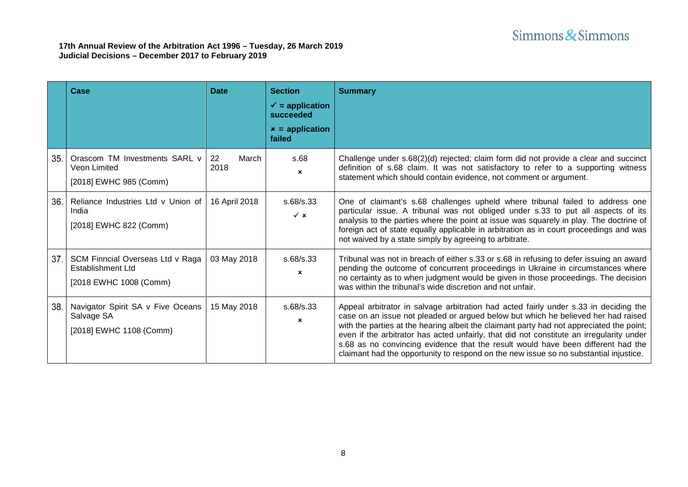|     | Case                                                                                   | <b>Date</b>         | <b>Section</b><br>$\checkmark$ = application<br>succeeded<br>$x =$ application<br>failed | <b>Summary</b>                                                                                                                                                                                                                                                                                                                                                                                                                                                                                                                                 |
|-----|----------------------------------------------------------------------------------------|---------------------|------------------------------------------------------------------------------------------|------------------------------------------------------------------------------------------------------------------------------------------------------------------------------------------------------------------------------------------------------------------------------------------------------------------------------------------------------------------------------------------------------------------------------------------------------------------------------------------------------------------------------------------------|
| 35. | Orascom TM Investments SARL v<br>Veon Limited<br>[2018] EWHC 985 (Comm)                | March<br>22<br>2018 | s.68<br>$\mathbf x$                                                                      | Challenge under s.68(2)(d) rejected; claim form did not provide a clear and succinct<br>definition of s.68 claim. It was not satisfactory to refer to a supporting witness<br>statement which should contain evidence, not comment or argument.                                                                                                                                                                                                                                                                                                |
| 36. | Reliance Industries Ltd v Union of<br>India<br>[2018] EWHC 822 (Comm)                  | 16 April 2018       | s.68/s.33<br>$\checkmark$ x                                                              | One of claimant's s.68 challenges upheld where tribunal failed to address one<br>particular issue. A tribunal was not obliged under s.33 to put all aspects of its<br>analysis to the parties where the point at issue was squarely in play. The doctrine of<br>foreign act of state equally applicable in arbitration as in court proceedings and was<br>not waived by a state simply by agreeing to arbitrate.                                                                                                                               |
| 37. | SCM Finncial Overseas Ltd v Raga<br><b>Establishment Ltd</b><br>[2018 EWHC 1008 (Comm) | 03 May 2018         | s.68/s.33<br>×                                                                           | Tribunal was not in breach of either s.33 or s.68 in refusing to defer issuing an award<br>pending the outcome of concurrent proceedings in Ukraine in circumstances where<br>no certainty as to when judgment would be given in those proceedings. The decision<br>was within the tribunal's wide discretion and not unfair.                                                                                                                                                                                                                  |
| 38. | Navigator Spirit SA v Five Oceans<br>Salvage SA<br>[2018] EWHC 1108 (Comm)             | 15 May 2018         | s.68/s.33<br>×                                                                           | Appeal arbitrator in salvage arbitration had acted fairly under s.33 in deciding the<br>case on an issue not pleaded or argued below but which he believed her had raised<br>with the parties at the hearing albeit the claimant party had not appreciated the point;<br>even if the arbitrator has acted unfairly, that did not constitute an irregularity under<br>s.68 as no convincing evidence that the result would have been different had the<br>claimant had the opportunity to respond on the new issue so no substantial injustice. |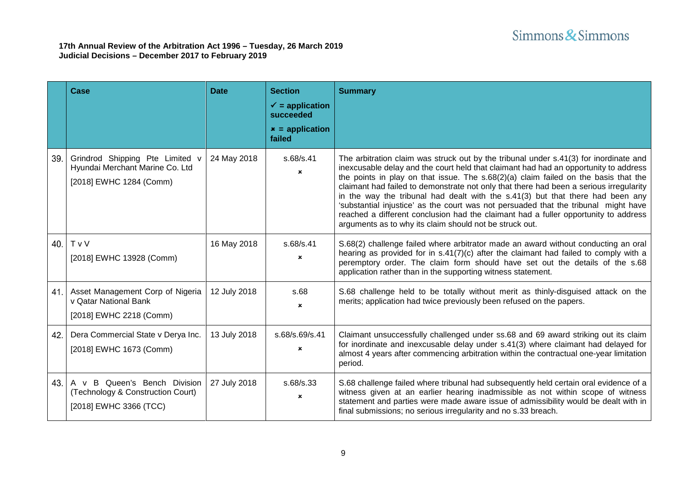|     | Case                                                                                          | <b>Date</b>  | <b>Section</b><br>$\checkmark$ = application<br>succeeded<br>$x =$ application<br>failed | <b>Summary</b>                                                                                                                                                                                                                                                                                                                                                                                                                                                                                                                                                                                                                                                                              |
|-----|-----------------------------------------------------------------------------------------------|--------------|------------------------------------------------------------------------------------------|---------------------------------------------------------------------------------------------------------------------------------------------------------------------------------------------------------------------------------------------------------------------------------------------------------------------------------------------------------------------------------------------------------------------------------------------------------------------------------------------------------------------------------------------------------------------------------------------------------------------------------------------------------------------------------------------|
| 39. | Grindrod Shipping Pte Limited v<br>Hyundai Merchant Marine Co. Ltd<br>[2018] EWHC 1284 (Comm) | 24 May 2018  | s.68/s.41<br>$\mathbf x$                                                                 | The arbitration claim was struck out by the tribunal under s.41(3) for inordinate and<br>inexcusable delay and the court held that claimant had had an opportunity to address<br>the points in play on that issue. The $s.68(2)(a)$ claim failed on the basis that the<br>claimant had failed to demonstrate not only that there had been a serious irregularity<br>in the way the tribunal had dealt with the s.41(3) but that there had been any<br>'substantial injustice' as the court was not persuaded that the tribunal might have<br>reached a different conclusion had the claimant had a fuller opportunity to address<br>arguments as to why its claim should not be struck out. |
| 40. | T v V<br>[2018] EWHC 13928 (Comm)                                                             | 16 May 2018  | s.68/s.41<br>$\mathbf x$                                                                 | S.68(2) challenge failed where arbitrator made an award without conducting an oral<br>hearing as provided for in $s.41(7)(c)$ after the claimant had failed to comply with a<br>peremptory order. The claim form should have set out the details of the s.68<br>application rather than in the supporting witness statement.                                                                                                                                                                                                                                                                                                                                                                |
| 41. | Asset Management Corp of Nigeria<br>v Qatar National Bank<br>[2018] EWHC 2218 (Comm)          | 12 July 2018 | s.68<br>$\mathbf x$                                                                      | S.68 challenge held to be totally without merit as thinly-disguised attack on the<br>merits; application had twice previously been refused on the papers.                                                                                                                                                                                                                                                                                                                                                                                                                                                                                                                                   |
| 42. | Dera Commercial State v Derya Inc.<br>[2018] EWHC 1673 (Comm)                                 | 13 July 2018 | s.68/s.69/s.41<br>×                                                                      | Claimant unsuccessfully challenged under ss.68 and 69 award striking out its claim<br>for inordinate and inexcusable delay under s.41(3) where claimant had delayed for<br>almost 4 years after commencing arbitration within the contractual one-year limitation<br>period.                                                                                                                                                                                                                                                                                                                                                                                                                |
| 43. | A v B Queen's Bench Division<br>(Technology & Construction Court)<br>[2018] EWHC 3366 (TCC)   | 27 July 2018 | s.68/s.33<br>×                                                                           | S.68 challenge failed where tribunal had subsequently held certain oral evidence of a<br>witness given at an earlier hearing inadmissible as not within scope of witness<br>statement and parties were made aware issue of admissibility would be dealt with in<br>final submissions; no serious irregularity and no s.33 breach.                                                                                                                                                                                                                                                                                                                                                           |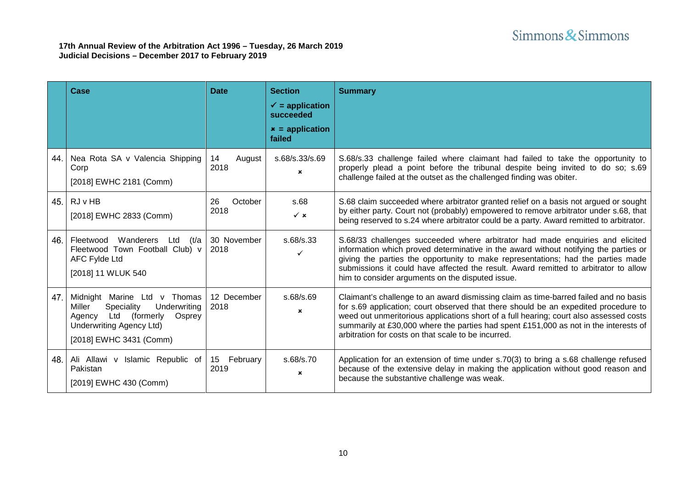<span id="page-9-0"></span>

|     | Case                                                                                                                                                                    | <b>Date</b>           | <b>Section</b><br>$\checkmark$ = application<br>succeeded<br>$x =$ application<br>failed | <b>Summary</b>                                                                                                                                                                                                                                                                                                                                                                                                       |
|-----|-------------------------------------------------------------------------------------------------------------------------------------------------------------------------|-----------------------|------------------------------------------------------------------------------------------|----------------------------------------------------------------------------------------------------------------------------------------------------------------------------------------------------------------------------------------------------------------------------------------------------------------------------------------------------------------------------------------------------------------------|
| 44. | Nea Rota SA v Valencia Shipping<br>Corp<br>[2018] EWHC 2181 (Comm)                                                                                                      | 14<br>August<br>2018  | s.68/s.33/s.69<br>×                                                                      | S.68/s.33 challenge failed where claimant had failed to take the opportunity to<br>properly plead a point before the tribunal despite being invited to do so; s.69<br>challenge failed at the outset as the challenged finding was obiter.                                                                                                                                                                           |
| 45. | <b>RJ</b> v HB<br>[2018] EWHC 2833 (Comm)                                                                                                                               | 26<br>October<br>2018 | s.68<br>$\checkmark$ x                                                                   | S.68 claim succeeded where arbitrator granted relief on a basis not argued or sought<br>by either party. Court not (probably) empowered to remove arbitrator under s.68, that<br>being reserved to s.24 where arbitrator could be a party. Award remitted to arbitrator.                                                                                                                                             |
| 46. | Fleetwood<br>Wanderers<br>Ltd<br>(t/a<br>Fleetwood Town Football Club) v<br><b>AFC Fylde Ltd</b><br>[2018] 11 WLUK 540                                                  | 30 November<br>2018   | s.68/s.33                                                                                | S.68/33 challenges succeeded where arbitrator had made enquiries and elicited<br>information which proved determinative in the award without notifying the parties or<br>giving the parties the opportunity to make representations; had the parties made<br>submissions it could have affected the result. Award remitted to arbitrator to allow<br>him to consider arguments on the disputed issue.                |
| 47. | Midnight Marine Ltd v Thomas<br>Speciality<br>Underwriting<br>Miller<br>Ltd (formerly<br>Osprey<br>Agency<br><b>Underwriting Agency Ltd)</b><br>[2018] EWHC 3431 (Comm) | 12 December<br>2018   | s.68/s.69<br>$\mathbf{x}$                                                                | Claimant's challenge to an award dismissing claim as time-barred failed and no basis<br>for s.69 application; court observed that there should be an expedited procedure to<br>weed out unmeritorious applications short of a full hearing; court also assessed costs<br>summarily at £30,000 where the parties had spent £151,000 as not in the interests of<br>arbitration for costs on that scale to be incurred. |
| 48. | Ali Allawi v Islamic Republic of<br>Pakistan<br>[2019] EWHC 430 (Comm)                                                                                                  | 15 February<br>2019   | s.68/s.70<br>$\mathbf{x}$                                                                | Application for an extension of time under s.70(3) to bring a s.68 challenge refused<br>because of the extensive delay in making the application without good reason and<br>because the substantive challenge was weak.                                                                                                                                                                                              |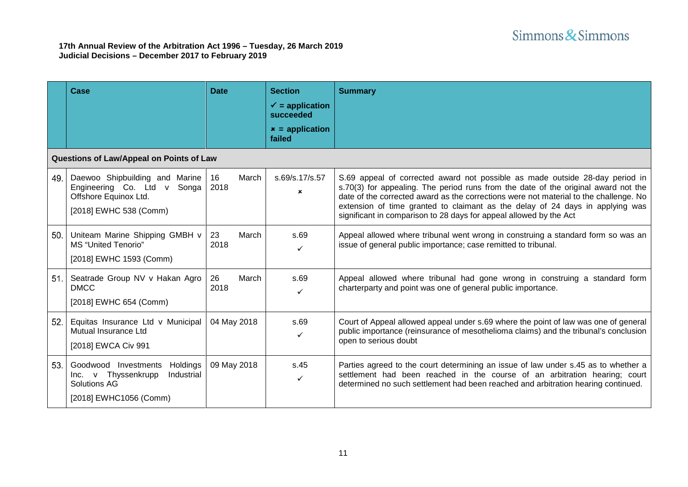|     | Case                                                                                                             | <b>Date</b>         | <b>Section</b><br>$\checkmark$ = application<br>succeeded<br>$x =$ application<br>failed | <b>Summary</b>                                                                                                                                                                                                                                                                                                                                                                                                     |
|-----|------------------------------------------------------------------------------------------------------------------|---------------------|------------------------------------------------------------------------------------------|--------------------------------------------------------------------------------------------------------------------------------------------------------------------------------------------------------------------------------------------------------------------------------------------------------------------------------------------------------------------------------------------------------------------|
|     | Questions of Law/Appeal on Points of Law                                                                         |                     |                                                                                          |                                                                                                                                                                                                                                                                                                                                                                                                                    |
| 49. | Daewoo Shipbuilding and Marine<br>Engineering Co. Ltd v Songa<br>Offshore Equinox Ltd.<br>[2018] EWHC 538 (Comm) | March<br>16<br>2018 | s.69/s.17/s.57<br>$\boldsymbol{\mathsf{x}}$                                              | S.69 appeal of corrected award not possible as made outside 28-day period in<br>s.70(3) for appealing. The period runs from the date of the original award not the<br>date of the corrected award as the corrections were not material to the challenge. No<br>extension of time granted to claimant as the delay of 24 days in applying was<br>significant in comparison to 28 days for appeal allowed by the Act |
| 50. | Uniteam Marine Shipping GMBH v<br><b>MS</b> "United Tenorio"<br>[2018] EWHC 1593 (Comm)                          | March<br>23<br>2018 | s.69<br>✓                                                                                | Appeal allowed where tribunal went wrong in construing a standard form so was an<br>issue of general public importance; case remitted to tribunal.                                                                                                                                                                                                                                                                 |
| 51. | Seatrade Group NV v Hakan Agro<br><b>DMCC</b><br>[2018] EWHC 654 (Comm)                                          | March<br>26<br>2018 | s.69<br>✓                                                                                | Appeal allowed where tribunal had gone wrong in construing a standard form<br>charterparty and point was one of general public importance.                                                                                                                                                                                                                                                                         |
| 52. | Equitas Insurance Ltd v Municipal<br>Mutual Insurance Ltd<br>[2018] EWCA Civ 991                                 | 04 May 2018         | s.69<br>✓                                                                                | Court of Appeal allowed appeal under s.69 where the point of law was one of general<br>public importance (reinsurance of mesothelioma claims) and the tribunal's conclusion<br>open to serious doubt                                                                                                                                                                                                               |
| 53. | Goodwood Investments<br>Holdings<br>Industrial<br>Inc. v Thyssenkrupp<br>Solutions AG<br>[2018] EWHC1056 (Comm)  | 09 May 2018         | s.45<br>✓                                                                                | Parties agreed to the court determining an issue of law under s.45 as to whether a<br>settlement had been reached in the course of an arbitration hearing; court<br>determined no such settlement had been reached and arbitration hearing continued.                                                                                                                                                              |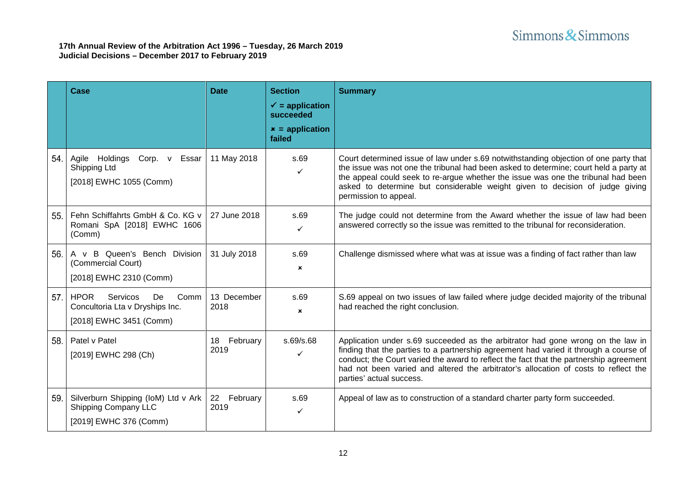|     | Case                                                                                                | <b>Date</b>            | <b>Section</b><br>$\checkmark$ = application<br>succeeded<br>$x =$ application<br>failed | <b>Summary</b>                                                                                                                                                                                                                                                                                                                                                                        |
|-----|-----------------------------------------------------------------------------------------------------|------------------------|------------------------------------------------------------------------------------------|---------------------------------------------------------------------------------------------------------------------------------------------------------------------------------------------------------------------------------------------------------------------------------------------------------------------------------------------------------------------------------------|
| 54. | Corp. v Essar<br>Agile Holdings<br>Shipping Ltd<br>[2018] EWHC 1055 (Comm)                          | 11 May 2018            | s.69<br>✓                                                                                | Court determined issue of law under s.69 notwithstanding objection of one party that<br>the issue was not one the tribunal had been asked to determine; court held a party at<br>the appeal could seek to re-argue whether the issue was one the tribunal had been<br>asked to determine but considerable weight given to decision of judge giving<br>permission to appeal.           |
| 55. | Fehn Schiffahrts GmbH & Co. KG v<br>Romani SpA [2018] EWHC 1606<br>(Comm)                           | 27 June 2018           | s.69<br>$\checkmark$                                                                     | The judge could not determine from the Award whether the issue of law had been<br>answered correctly so the issue was remitted to the tribunal for reconsideration.                                                                                                                                                                                                                   |
| 56. | A v B Queen's Bench Division<br>(Commercial Court)<br>[2018] EWHC 2310 (Comm)                       | 31 July 2018           | s.69<br>$\mathbf x$                                                                      | Challenge dismissed where what was at issue was a finding of fact rather than law                                                                                                                                                                                                                                                                                                     |
| 57. | <b>HPOR</b><br>Servicos<br>Comm<br>De<br>Concultoria Lta v Dryships Inc.<br>[2018] EWHC 3451 (Comm) | 13 December<br>2018    | s.69<br>$\boldsymbol{\mathsf{x}}$                                                        | S.69 appeal on two issues of law failed where judge decided majority of the tribunal<br>had reached the right conclusion.                                                                                                                                                                                                                                                             |
| 58. | Patel v Patel<br>[2019] EWHC 298 (Ch)                                                               | 18 February<br>2019    | s.69/s.68<br>✓                                                                           | Application under s.69 succeeded as the arbitrator had gone wrong on the law in<br>finding that the parties to a partnership agreement had varied it through a course of<br>conduct; the Court varied the award to reflect the fact that the partnership agreement<br>had not been varied and altered the arbitrator's allocation of costs to reflect the<br>parties' actual success. |
| 59. | Silverburn Shipping (IoM) Ltd v Ark<br>Shipping Company LLC<br>[2019] EWHC 376 (Comm)               | 22<br>February<br>2019 | s.69<br>✓                                                                                | Appeal of law as to construction of a standard charter party form succeeded.                                                                                                                                                                                                                                                                                                          |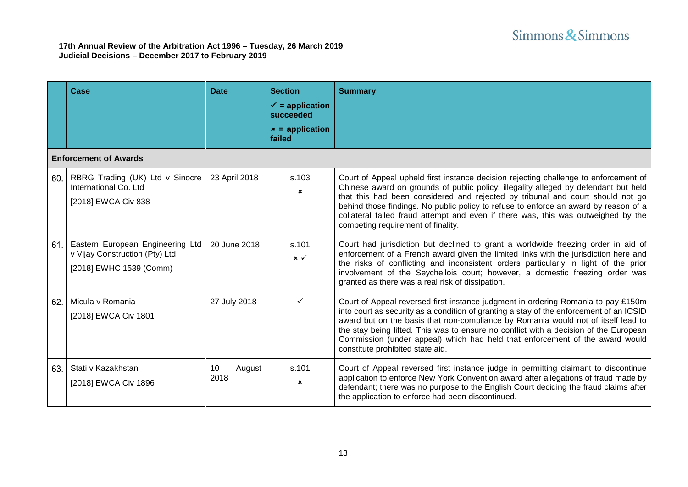|                              | Case                                                                                          | <b>Date</b>          | <b>Section</b><br>$\checkmark$ = application<br>succeeded<br>$x =$ application<br>failed | <b>Summary</b>                                                                                                                                                                                                                                                                                                                                                                                                                                                                   |  |  |
|------------------------------|-----------------------------------------------------------------------------------------------|----------------------|------------------------------------------------------------------------------------------|----------------------------------------------------------------------------------------------------------------------------------------------------------------------------------------------------------------------------------------------------------------------------------------------------------------------------------------------------------------------------------------------------------------------------------------------------------------------------------|--|--|
| <b>Enforcement of Awards</b> |                                                                                               |                      |                                                                                          |                                                                                                                                                                                                                                                                                                                                                                                                                                                                                  |  |  |
| 60.                          | RBRG Trading (UK) Ltd v Sinocre<br>International Co. Ltd<br>[2018] EWCA Civ 838               | 23 April 2018        | s.103<br>$\mathbf{x}$                                                                    | Court of Appeal upheld first instance decision rejecting challenge to enforcement of<br>Chinese award on grounds of public policy; illegality alleged by defendant but held<br>that this had been considered and rejected by tribunal and court should not go<br>behind those findings. No public policy to refuse to enforce an award by reason of a<br>collateral failed fraud attempt and even if there was, this was outweighed by the<br>competing requirement of finality. |  |  |
| 61.                          | Eastern European Engineering Ltd<br>v Vijay Construction (Pty) Ltd<br>[2018] EWHC 1539 (Comm) | 20 June 2018         | s.101<br>$x \checkmark$                                                                  | Court had jurisdiction but declined to grant a worldwide freezing order in aid of<br>enforcement of a French award given the limited links with the jurisdiction here and<br>the risks of conflicting and inconsistent orders particularly in light of the prior<br>involvement of the Seychellois court; however, a domestic freezing order was<br>granted as there was a real risk of dissipation.                                                                             |  |  |
| 62.                          | Micula v Romania<br>[2018] EWCA Civ 1801                                                      | 27 July 2018         | ✓                                                                                        | Court of Appeal reversed first instance judgment in ordering Romania to pay £150m<br>into court as security as a condition of granting a stay of the enforcement of an ICSID<br>award but on the basis that non-compliance by Romania would not of itself lead to<br>the stay being lifted. This was to ensure no conflict with a decision of the European<br>Commission (under appeal) which had held that enforcement of the award would<br>constitute prohibited state aid.   |  |  |
| 63.                          | Stati v Kazakhstan<br>[2018] EWCA Civ 1896                                                    | 10<br>August<br>2018 | s.101<br>$\boldsymbol{\mathsf{x}}$                                                       | Court of Appeal reversed first instance judge in permitting claimant to discontinue<br>application to enforce New York Convention award after allegations of fraud made by<br>defendant; there was no purpose to the English Court deciding the fraud claims after<br>the application to enforce had been discontinued.                                                                                                                                                          |  |  |